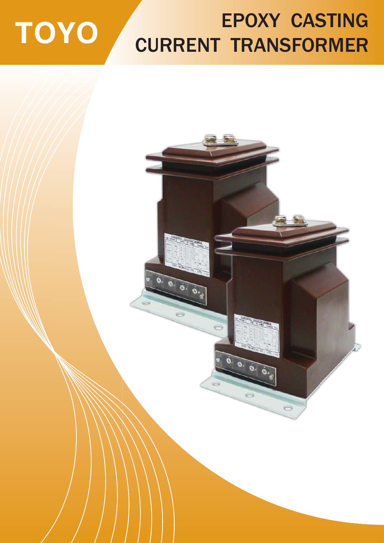# TOYO

## EPOXY CASTING CURRENT TRANSFORMER